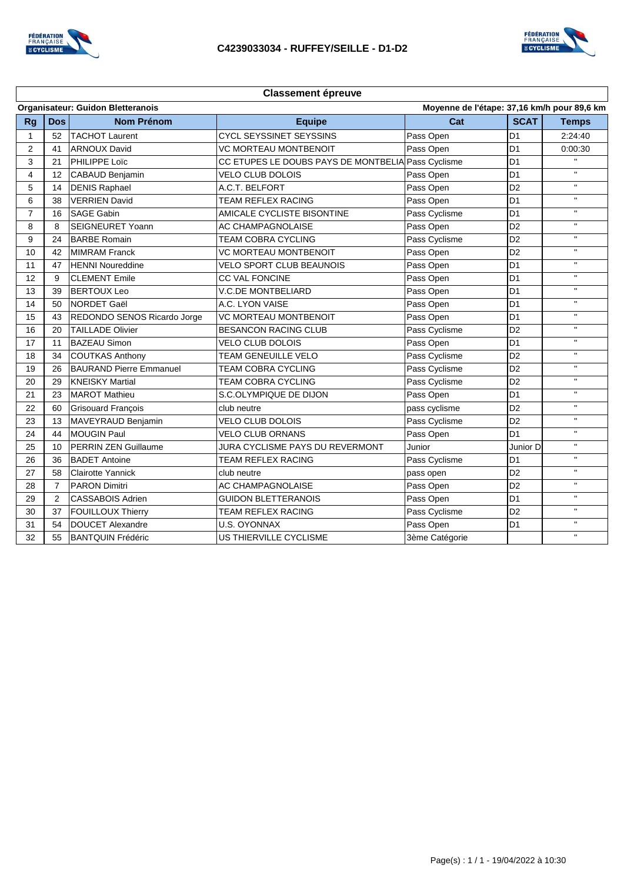



| <b>Classement épreuve</b>                                                               |                |                                |                                                    |                |                |                |  |  |  |  |
|-----------------------------------------------------------------------------------------|----------------|--------------------------------|----------------------------------------------------|----------------|----------------|----------------|--|--|--|--|
| Moyenne de l'étape: 37,16 km/h pour 89,6 km<br><b>Organisateur: Guidon Bletteranois</b> |                |                                |                                                    |                |                |                |  |  |  |  |
| <b>Rg</b>                                                                               | <b>Dos</b>     | <b>Nom Prénom</b>              | <b>Equipe</b>                                      | Cat            | <b>SCAT</b>    | <b>Temps</b>   |  |  |  |  |
| $\mathbf{1}$                                                                            | 52             | <b>TACHOT Laurent</b>          | <b>CYCL SEYSSINET SEYSSINS</b>                     | Pass Open      | D <sub>1</sub> | 2:24:40        |  |  |  |  |
| $\overline{2}$                                                                          | 41             | <b>ARNOUX David</b>            | <b>VC MORTEAU MONTBENOIT</b>                       | Pass Open      | D <sub>1</sub> | 0:00:30        |  |  |  |  |
| 3                                                                                       | 21             | PHILIPPE Loïc                  | CC ETUPES LE DOUBS PAYS DE MONTBELIA Pass Cyclisme |                | D <sub>1</sub> | $\mathbf{H}$ . |  |  |  |  |
| 4                                                                                       | 12             | CABAUD Benjamin                | VELO CLUB DOLOIS                                   | Pass Open      | D <sub>1</sub> | $\mathbf{H}$   |  |  |  |  |
| 5                                                                                       | 14             | <b>DENIS Raphael</b>           | A.C.T. BELFORT                                     | Pass Open      | D <sub>2</sub> | $\mathbf{H}$   |  |  |  |  |
| 6                                                                                       | 38             | <b>VERRIEN David</b>           | <b>TEAM REFLEX RACING</b>                          | Pass Open      | D <sub>1</sub> | $\mathbf{H}$   |  |  |  |  |
| 7                                                                                       | 16             | <b>SAGE Gabin</b>              | AMICALE CYCLISTE BISONTINE                         | Pass Cyclisme  | D <sub>1</sub> | $\mathbf{H}$   |  |  |  |  |
| 8                                                                                       | 8              | SEIGNEURET Yoann               | AC CHAMPAGNOLAISE                                  | Pass Open      | D <sub>2</sub> | $\mathbf{H}$   |  |  |  |  |
| 9                                                                                       | 24             | <b>BARBE Romain</b>            | <b>TEAM COBRA CYCLING</b>                          | Pass Cyclisme  | D <sub>2</sub> | $\mathbf{H}$   |  |  |  |  |
| 10                                                                                      | 42             | <b>MIMRAM Franck</b>           | <b>VC MORTEAU MONTBENOIT</b>                       | Pass Open      | D <sub>2</sub> | $\mathbf{H}$   |  |  |  |  |
| 11                                                                                      | 47             | <b>HENNI Noureddine</b>        | <b>VELO SPORT CLUB BEAUNOIS</b>                    | Pass Open      | D <sub>1</sub> | $\mathbf{H}$   |  |  |  |  |
| 12                                                                                      | 9              | <b>CLEMENT Emile</b>           | <b>CC VAL FONCINE</b>                              | Pass Open      | D <sub>1</sub> | $\mathbf{H}$   |  |  |  |  |
| 13                                                                                      | 39             | <b>BERTOUX Leo</b>             | <b>V.C.DE MONTBELIARD</b>                          | Pass Open      | D <sub>1</sub> | $\mathbf{H}$   |  |  |  |  |
| 14                                                                                      | 50             | NORDET Gaël                    | A.C. LYON VAISE                                    | Pass Open      | D <sub>1</sub> | $\mathbf{H}$   |  |  |  |  |
| 15                                                                                      | 43             | REDONDO SENOS Ricardo Jorge    | <b>VC MORTEAU MONTBENOIT</b>                       | Pass Open      | D <sub>1</sub> | $\mathbf{H}$   |  |  |  |  |
| 16                                                                                      | 20             | <b>TAILLADE Olivier</b>        | <b>BESANCON RACING CLUB</b>                        | Pass Cyclisme  | D <sub>2</sub> | $\mathbf{H}$   |  |  |  |  |
| 17                                                                                      | 11             | <b>BAZEAU Simon</b>            | <b>VELO CLUB DOLOIS</b>                            | Pass Open      | D <sub>1</sub> | $\mathbf{H}$   |  |  |  |  |
| 18                                                                                      | 34             | <b>COUTKAS Anthony</b>         | <b>TEAM GENEUILLE VELO</b>                         | Pass Cyclisme  | D <sub>2</sub> | $\mathbf{H}$   |  |  |  |  |
| 19                                                                                      | 26             | <b>BAURAND Pierre Emmanuel</b> | TEAM COBRA CYCLING                                 | Pass Cyclisme  | D <sub>2</sub> | $\mathbf{H}$   |  |  |  |  |
| 20                                                                                      | 29             | <b>KNEISKY Martial</b>         | <b>TEAM COBRA CYCLING</b>                          | Pass Cyclisme  | D <sub>2</sub> | $\mathbf{H}$   |  |  |  |  |
| 21                                                                                      | 23             | <b>MAROT Mathieu</b>           | S.C.OLYMPIQUE DE DIJON                             | Pass Open      | D <sub>1</sub> | $\mathbf{H}$   |  |  |  |  |
| 22                                                                                      | 60             | <b>Grisouard François</b>      | club neutre                                        | pass cyclisme  | D <sub>2</sub> | $\mathbf{H}$   |  |  |  |  |
| 23                                                                                      | 13             | MAVEYRAUD Benjamin             | <b>VELO CLUB DOLOIS</b>                            | Pass Cyclisme  | D <sub>2</sub> | $\mathbf{H}$ . |  |  |  |  |
| 24                                                                                      | 44             | <b>MOUGIN Paul</b>             | <b>VELO CLUB ORNANS</b>                            | Pass Open      | D <sub>1</sub> | $\mathbf{H}$   |  |  |  |  |
| 25                                                                                      | 10             | PERRIN ZEN Guillaume           | JURA CYCLISME PAYS DU REVERMONT                    | Junior         | Junior D       | $\mathbf{H}$   |  |  |  |  |
| 26                                                                                      | 36             | <b>BADET Antoine</b>           | TEAM REFLEX RACING                                 | Pass Cyclisme  | D <sub>1</sub> | $\mathbf{H}$   |  |  |  |  |
| 27                                                                                      | 58             | <b>Clairotte Yannick</b>       | club neutre                                        | pass open      | D <sub>2</sub> | $\mathbf{H}$   |  |  |  |  |
| 28                                                                                      | $\overline{7}$ | <b>PARON Dimitri</b>           | AC CHAMPAGNOLAISE                                  | Pass Open      | D <sub>2</sub> | $\mathbf{H}$   |  |  |  |  |
| 29                                                                                      | 2              | CASSABOIS Adrien               | <b>GUIDON BLETTERANOIS</b>                         | Pass Open      | D <sub>1</sub> | $\mathbf{H}$   |  |  |  |  |
| 30                                                                                      | 37             | FOUILLOUX Thierry              | TEAM REFLEX RACING                                 | Pass Cyclisme  | D <sub>2</sub> | $\mathbf{H}$   |  |  |  |  |
| 31                                                                                      | 54             | <b>DOUCET Alexandre</b>        | <b>U.S. OYONNAX</b>                                | Pass Open      | D <sub>1</sub> | $\mathbf{H}$   |  |  |  |  |
| 32                                                                                      | 55             | <b>BANTQUIN Frédéric</b>       | US THIERVILLE CYCLISME                             | 3ème Catégorie |                | $\mathbf{H}$   |  |  |  |  |